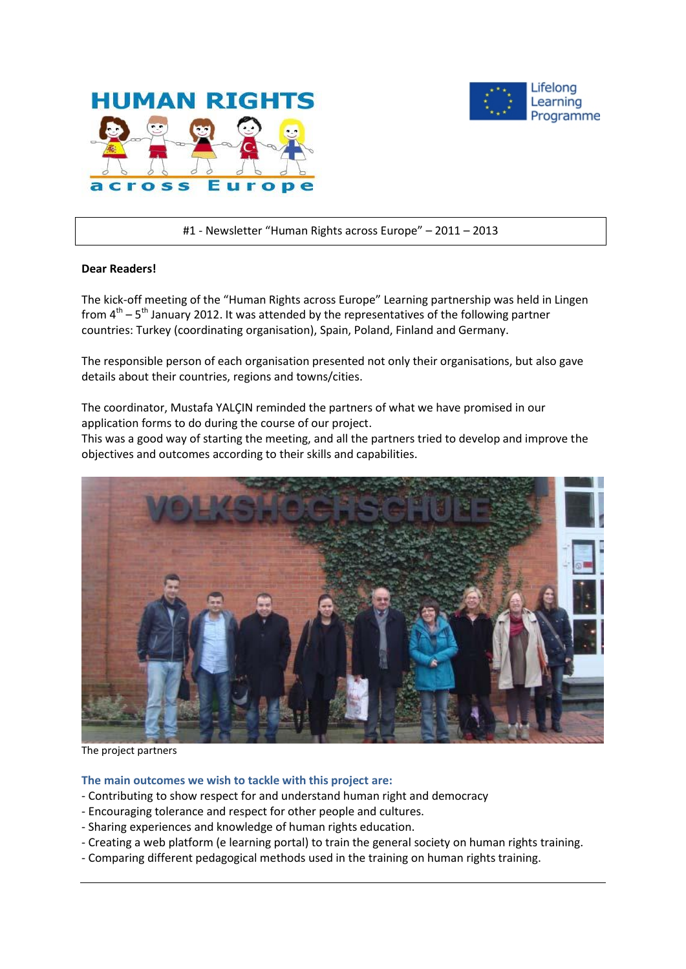



#1 - Newsletter "Human Rights across Europe" – 2011 – 2013

### **Dear Readers!**

The kick-off meeting of the "Human Rights across Europe" Learning partnership was held in Lingen from  $4^{\text{th}}$  – 5<sup>th</sup> January 2012. It was attended by the representatives of the following partner countries: Turkey (coordinating organisation), Spain, Poland, Finland and Germany.

The responsible person of each organisation presented not only their organisations, but also gave details about their countries, regions and towns/cities.

The coordinator, Mustafa YALÇIN reminded the partners of what we have promised in our application forms to do during the course of our project.

This was a good way of starting the meeting, and all the partners tried to develop and improve the objectives and outcomes according to their skills and capabilities.



The project partners

#### **The main outcomes we wish to tackle with this project are:**

- Contributing to show respect for and understand human right and democracy
- Encouraging tolerance and respect for other people and cultures.
- Sharing experiences and knowledge of human rights education.
- Creating a web platform (e learning portal) to train the general society on human rights training.
- Comparing different pedagogical methods used in the training on human rights training.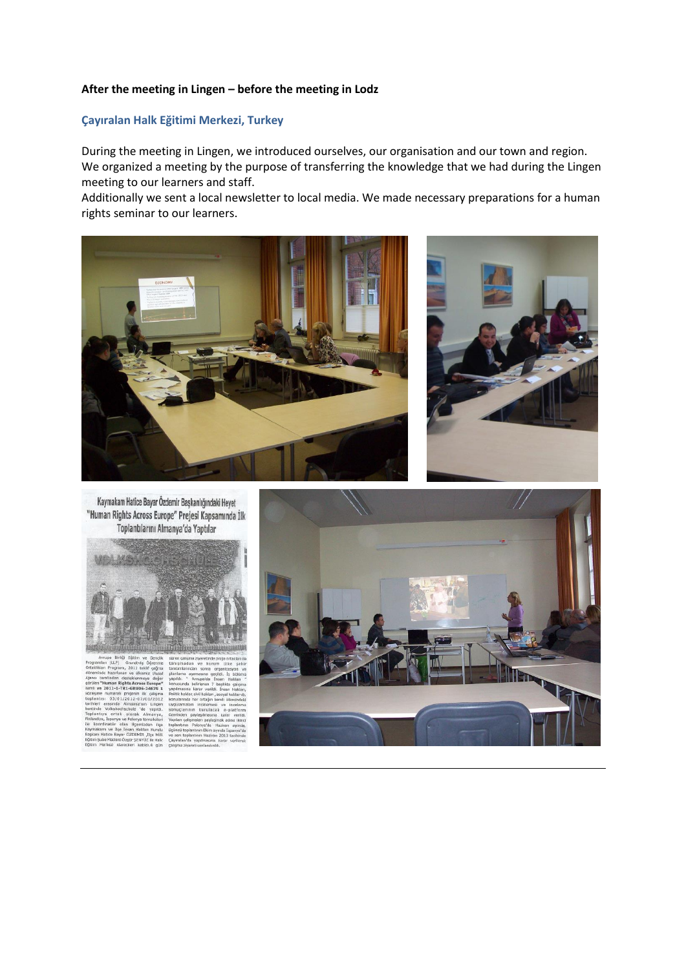## **After the meeting in Lingen – before the meeting in Lodz**

# **Çayıralan Halk Eğitimi Merkezi, Turkey**

During the meeting in Lingen, we introduced ourselves, our organisation and our town and region. We organized a meeting by the purpose of transferring the knowledge that we had during the Lingen meeting to our learners and staff.

Additionally we sent a local newsletter to local media. We made necessary preparations for a human rights seminar to our learners.



Kaymakam Hatice Bayar Özdemir Başkanlığındaki Heyet "Human Rights Across Europe" Prejesi Kapsamında İlk Toplantılarını Almanya'da Yaptılar



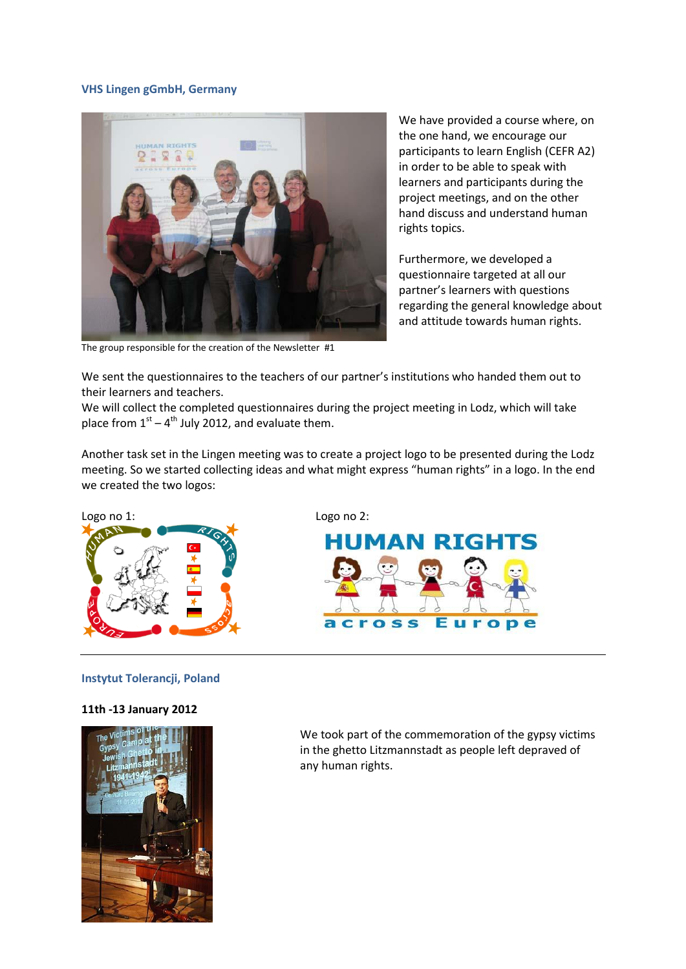#### **VHS Lingen gGmbH, Germany**



The group responsible for the creation of the Newsletter #1

We have provided a course where, on the one hand, we encourage our participants to learn English (CEFR A2) in order to be able to speak with learners and participants during the project meetings, and on the other hand discuss and understand human rights topics.

Furthermore, we developed a questionnaire targeted at all our partner's learners with questions regarding the general knowledge about and attitude towards human rights.

We sent the questionnaires to the teachers of our partner's institutions who handed them out to their learners and teachers.

We will collect the completed questionnaires during the project meeting in Lodz, which will take place from  $1<sup>st</sup> - 4<sup>th</sup>$  July 2012, and evaluate them.

Another task set in the Lingen meeting was to create a project logo to be presented during the Lodz meeting. So we started collecting ideas and what might express "human rights" in a logo. In the end we created the two logos:



#### **Instytut Tolerancji, Poland**

#### **11th -13 January 2012**



We took part of the commemoration of the gypsy victims in the ghetto Litzmannstadt as people left depraved of any human rights.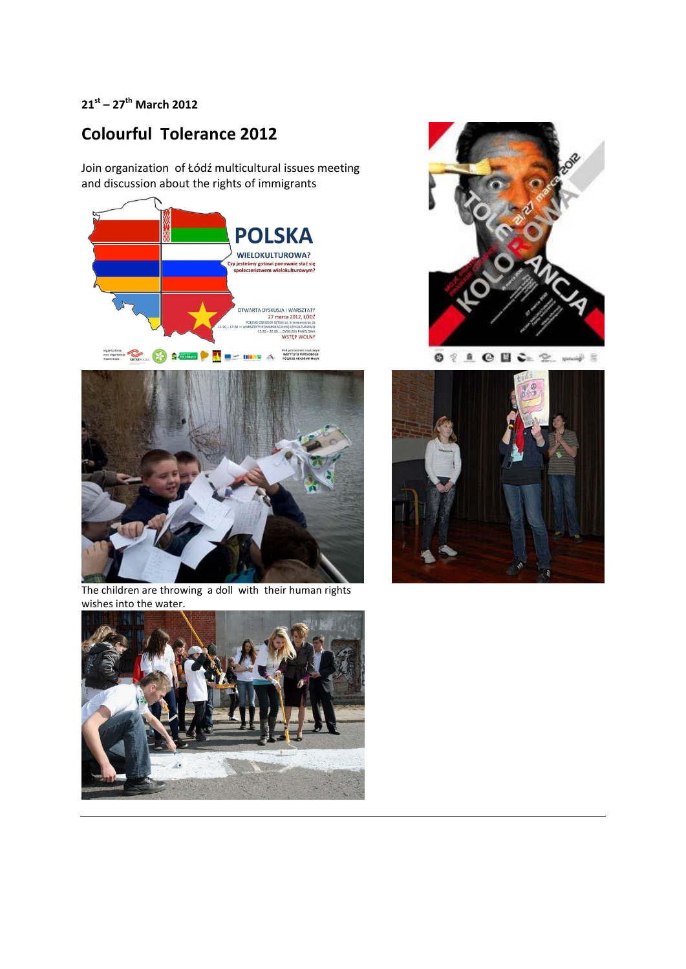# **21st – 27th March 2012**

# **Colourful Tolerance 2012**

Join organization of Łódź multicultural issues meeting and discussion about the rights of immigrants





 $\begin{picture}(180,10) \put(0,0){\line(1,0){10}} \put(10,0){\line(1,0){10}} \put(10,0){\line(1,0){10}} \put(10,0){\line(1,0){10}} \put(10,0){\line(1,0){10}} \put(10,0){\line(1,0){10}} \put(10,0){\line(1,0){10}} \put(10,0){\line(1,0){10}} \put(10,0){\line(1,0){10}} \put(10,0){\line(1,0){10}} \put(10,0){\line(1,0){10}} \put(10,0){\line($ غف



The children are throwing a doll with their human rights wishes into the water.